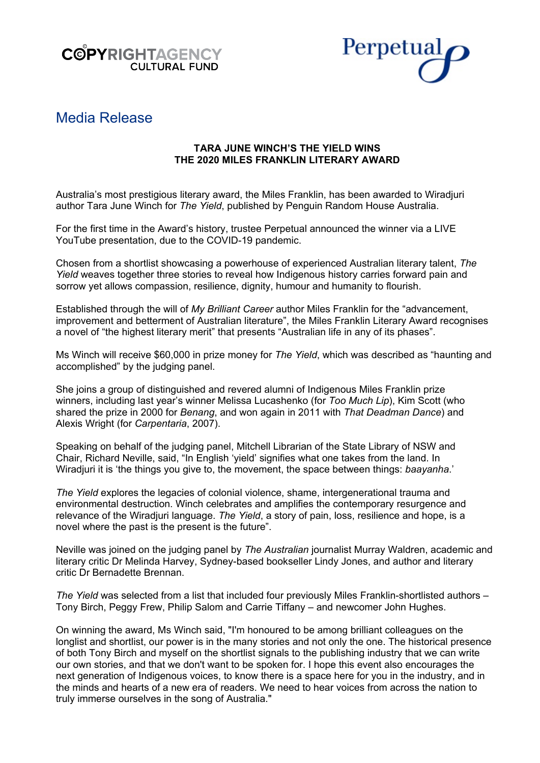



# Media Release

# **TARA JUNE WINCH'S THE YIELD WINS THE 2020 MILES FRANKLIN LITERARY AWARD**

Australia's most prestigious literary award, the Miles Franklin, has been awarded to Wiradjuri author Tara June Winch for *The Yield*, published by Penguin Random House Australia.

For the first time in the Award's history, trustee Perpetual announced the winner via a LIVE YouTube presentation, due to the COVID-19 pandemic.

Chosen from a shortlist showcasing a powerhouse of experienced Australian literary talent, *The Yield* weaves together three stories to reveal how Indigenous history carries forward pain and sorrow yet allows compassion, resilience, dignity, humour and humanity to flourish.

Established through the will of *My Brilliant Career* author Miles Franklin for the "advancement, improvement and betterment of Australian literature", the Miles Franklin Literary Award recognises a novel of "the highest literary merit" that presents "Australian life in any of its phases".

Ms Winch will receive \$60,000 in prize money for *The Yield*, which was described as "haunting and accomplished" by the judging panel.

She joins a group of distinguished and revered alumni of Indigenous Miles Franklin prize winners, including last year's winner Melissa Lucashenko (for *Too Much Lip*), Kim Scott (who shared the prize in 2000 for *Benang*, and won again in 2011 with *That Deadman Dance*) and Alexis Wright (for *Carpentaria*, 2007).

Speaking on behalf of the judging panel, Mitchell Librarian of the State Library of NSW and Chair, Richard Neville, said, "In English 'yield' signifies what one takes from the land. In Wiradjuri it is 'the things you give to, the movement, the space between things: *baayanha*.'

*The Yield* explores the legacies of colonial violence, shame, intergenerational trauma and environmental destruction. Winch celebrates and amplifies the contemporary resurgence and relevance of the Wiradjuri language. *The Yield*, a story of pain, loss, resilience and hope, is a novel where the past is the present is the future".

Neville was joined on the judging panel by *The Australian* journalist Murray Waldren, academic and literary critic Dr Melinda Harvey, Sydney-based bookseller Lindy Jones, and author and literary critic Dr Bernadette Brennan.

*The Yield* was selected from a list that included four previously Miles Franklin-shortlisted authors – Tony Birch, Peggy Frew, Philip Salom and Carrie Tiffany – and newcomer John Hughes.

On winning the award, Ms Winch said, "I'm honoured to be among brilliant colleagues on the longlist and shortlist, our power is in the many stories and not only the one. The historical presence of both Tony Birch and myself on the shortlist signals to the publishing industry that we can write our own stories, and that we don't want to be spoken for. I hope this event also encourages the next generation of Indigenous voices, to know there is a space here for you in the industry, and in the minds and hearts of a new era of readers. We need to hear voices from across the nation to truly immerse ourselves in the song of Australia."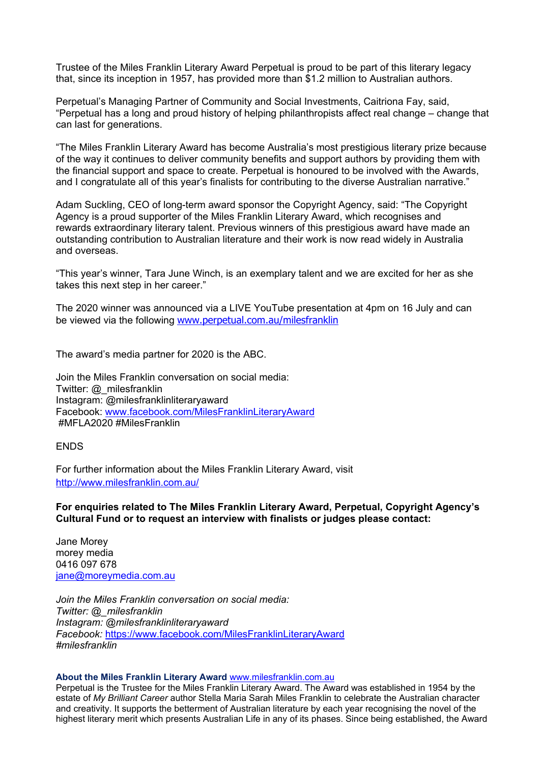Trustee of the Miles Franklin Literary Award Perpetual is proud to be part of this literary legacy that, since its inception in 1957, has provided more than \$1.2 million to Australian authors.

Perpetual's Managing Partner of Community and Social Investments, Caitriona Fay, said, "Perpetual has a long and proud history of helping philanthropists affect real change – change that can last for generations.

"The Miles Franklin Literary Award has become Australia's most prestigious literary prize because of the way it continues to deliver community benefits and support authors by providing them with the financial support and space to create. Perpetual is honoured to be involved with the Awards, and I congratulate all of this year's finalists for contributing to the diverse Australian narrative."

Adam Suckling, CEO of long-term award sponsor the Copyright Agency, said: "The Copyright Agency is a proud supporter of the Miles Franklin Literary Award, which recognises and rewards extraordinary literary talent. Previous winners of this prestigious award have made an outstanding contribution to Australian literature and their work is now read widely in Australia and overseas.

"This year's winner, Tara June Winch, is an exemplary talent and we are excited for her as she takes this next step in her career."

The 2020 winner was announced via a LIVE YouTube presentation at 4pm on 16 July and can be viewed via the following [www.perpetual.com.au/milesfranklin](https://www.perpetual.com.au/milesfranklin)

The award's media partner for 2020 is the ABC.

Join the Miles Franklin conversation on social media: Twitter: @\_milesfranklin Instagram: @milesfranklinliteraryaward Facebook: [www.facebook.com/MilesFranklinLiteraryAward](http://www.facebook.com/MilesFranklinLiteraryAward) #MFLA2020 #MilesFranklin

**FNDS** 

For further information about the Miles Franklin Literary Award, visit <http://www.milesfranklin.com.au/>

**For enquiries related to The Miles Franklin Literary Award, Perpetual, Copyright Agency's Cultural Fund or to request an interview with finalists or judges please contact:**

Jane Morey morey media 0416 097 678 [jane@moreymedia.com.au](mailto:jane@moreymedia.com.au)

*Join the Miles Franklin conversation on social media: Twitter: @\_milesfranklin Instagram: @milesfranklinliteraryaward Facebook:* <https://www.facebook.com/MilesFranklinLiteraryAward> *#milesfranklin*

#### **About the Miles Franklin Literary Award** [www.milesfranklin.com.au](http://www.milesfranklin.com.au/)

Perpetual is the Trustee for the Miles Franklin Literary Award. The Award was established in 1954 by the estate of *My Brilliant Career* author Stella Maria Sarah Miles Franklin to celebrate the Australian character and creativity. It supports the betterment of Australian literature by each year recognising the novel of the highest literary merit which presents Australian Life in any of its phases. Since being established, the Award